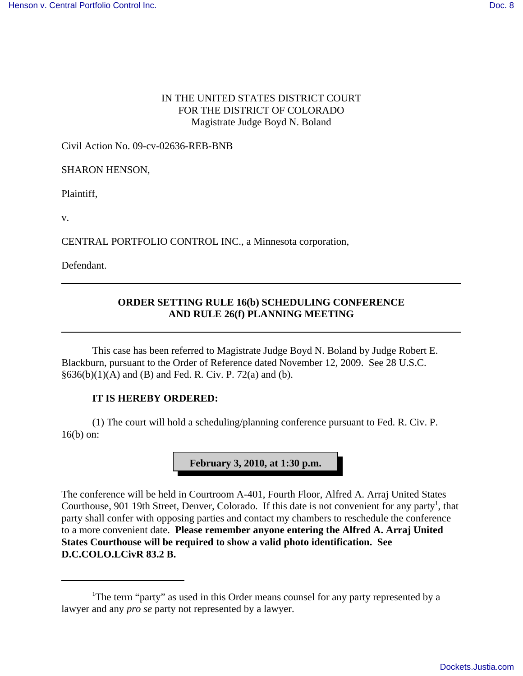## IN THE UNITED STATES DISTRICT COURT FOR THE DISTRICT OF COLORADO Magistrate Judge Boyd N. Boland

Civil Action No. 09-cv-02636-REB-BNB

SHARON HENSON,

Plaintiff,

v.

CENTRAL PORTFOLIO CONTROL INC., a Minnesota corporation,

Defendant.

## **ORDER SETTING RULE 16(b) SCHEDULING CONFERENCE AND RULE 26(f) PLANNING MEETING**

This case has been referred to Magistrate Judge Boyd N. Boland by Judge Robert E. Blackburn, pursuant to the Order of Reference dated November 12, 2009. See 28 U.S.C.  $§636(b)(1)(A)$  and (B) and Fed. R. Civ. P. 72(a) and (b).

## **IT IS HEREBY ORDERED:**

(1) The court will hold a scheduling/planning conference pursuant to Fed. R. Civ. P. 16(b) on:



The conference will be held in Courtroom A-401, Fourth Floor, Alfred A. Arraj United States Courthouse, 901 19th Street, Denver, Colorado. If this date is not convenient for any party<sup>1</sup>, that party shall confer with opposing parties and contact my chambers to reschedule the conference to a more convenient date. **Please remember anyone entering the Alfred A. Arraj United States Courthouse will be required to show a valid photo identification. See D.C.COLO.LCivR 83.2 B.**

<sup>&</sup>lt;sup>1</sup>The term "party" as used in this Order means counsel for any party represented by a lawyer and any *pro se* party not represented by a lawyer.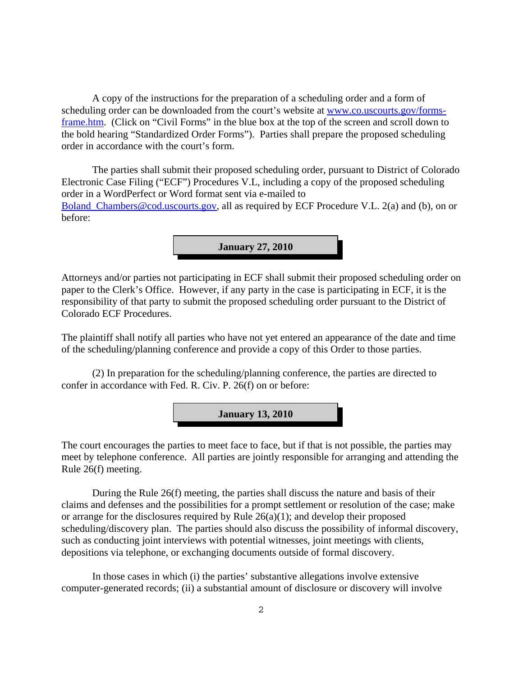A copy of the instructions for the preparation of a scheduling order and a form of scheduling order can be downloaded from the court's website at www.co.uscourts.gov/formsframe.htm. (Click on "Civil Forms" in the blue box at the top of the screen and scroll down to the bold hearing "Standardized Order Forms"). Parties shall prepare the proposed scheduling order in accordance with the court's form.

The parties shall submit their proposed scheduling order, pursuant to District of Colorado Electronic Case Filing ("ECF") Procedures V.L, including a copy of the proposed scheduling order in a WordPerfect or Word format sent via e-mailed to Boland Chambers@cod.uscourts.gov, all as required by ECF Procedure V.L. 2(a) and (b), on or before:

**January 27, 2010**

Attorneys and/or parties not participating in ECF shall submit their proposed scheduling order on paper to the Clerk's Office. However, if any party in the case is participating in ECF, it is the responsibility of that party to submit the proposed scheduling order pursuant to the District of Colorado ECF Procedures.

The plaintiff shall notify all parties who have not yet entered an appearance of the date and time of the scheduling/planning conference and provide a copy of this Order to those parties.

(2) In preparation for the scheduling/planning conference, the parties are directed to confer in accordance with Fed. R. Civ. P. 26(f) on or before:

**January 13, 2010**

The court encourages the parties to meet face to face, but if that is not possible, the parties may meet by telephone conference. All parties are jointly responsible for arranging and attending the Rule 26(f) meeting.

During the Rule 26(f) meeting, the parties shall discuss the nature and basis of their claims and defenses and the possibilities for a prompt settlement or resolution of the case; make or arrange for the disclosures required by Rule 26(a)(1); and develop their proposed scheduling/discovery plan. The parties should also discuss the possibility of informal discovery, such as conducting joint interviews with potential witnesses, joint meetings with clients, depositions via telephone, or exchanging documents outside of formal discovery.

In those cases in which (i) the parties' substantive allegations involve extensive computer-generated records; (ii) a substantial amount of disclosure or discovery will involve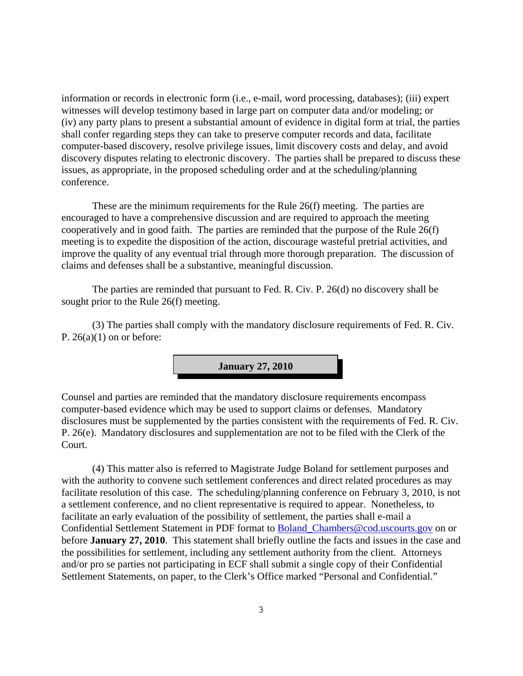information or records in electronic form (i.e., e-mail, word processing, databases); (iii) expert witnesses will develop testimony based in large part on computer data and/or modeling; or (iv) any party plans to present a substantial amount of evidence in digital form at trial, the parties shall confer regarding steps they can take to preserve computer records and data, facilitate computer-based discovery, resolve privilege issues, limit discovery costs and delay, and avoid discovery disputes relating to electronic discovery. The parties shall be prepared to discuss these issues, as appropriate, in the proposed scheduling order and at the scheduling/planning conference.

These are the minimum requirements for the Rule 26(f) meeting. The parties are encouraged to have a comprehensive discussion and are required to approach the meeting cooperatively and in good faith. The parties are reminded that the purpose of the Rule 26(f) meeting is to expedite the disposition of the action, discourage wasteful pretrial activities, and improve the quality of any eventual trial through more thorough preparation. The discussion of claims and defenses shall be a substantive, meaningful discussion.

The parties are reminded that pursuant to Fed. R. Civ. P. 26(d) no discovery shall be sought prior to the Rule 26(f) meeting.

(3) The parties shall comply with the mandatory disclosure requirements of Fed. R. Civ. P.  $26(a)(1)$  on or before:



Counsel and parties are reminded that the mandatory disclosure requirements encompass computer-based evidence which may be used to support claims or defenses. Mandatory disclosures must be supplemented by the parties consistent with the requirements of Fed. R. Civ. P. 26(e). Mandatory disclosures and supplementation are not to be filed with the Clerk of the Court.

(4) This matter also is referred to Magistrate Judge Boland for settlement purposes and with the authority to convene such settlement conferences and direct related procedures as may facilitate resolution of this case. The scheduling/planning conference on February 3, 2010, is not a settlement conference, and no client representative is required to appear. Nonetheless, to facilitate an early evaluation of the possibility of settlement, the parties shall e-mail a Confidential Settlement Statement in PDF format to Boland\_Chambers@cod.uscourts.gov on or before **January 27, 2010**. This statement shall briefly outline the facts and issues in the case and the possibilities for settlement, including any settlement authority from the client. Attorneys and/or pro se parties not participating in ECF shall submit a single copy of their Confidential Settlement Statements, on paper, to the Clerk's Office marked "Personal and Confidential."